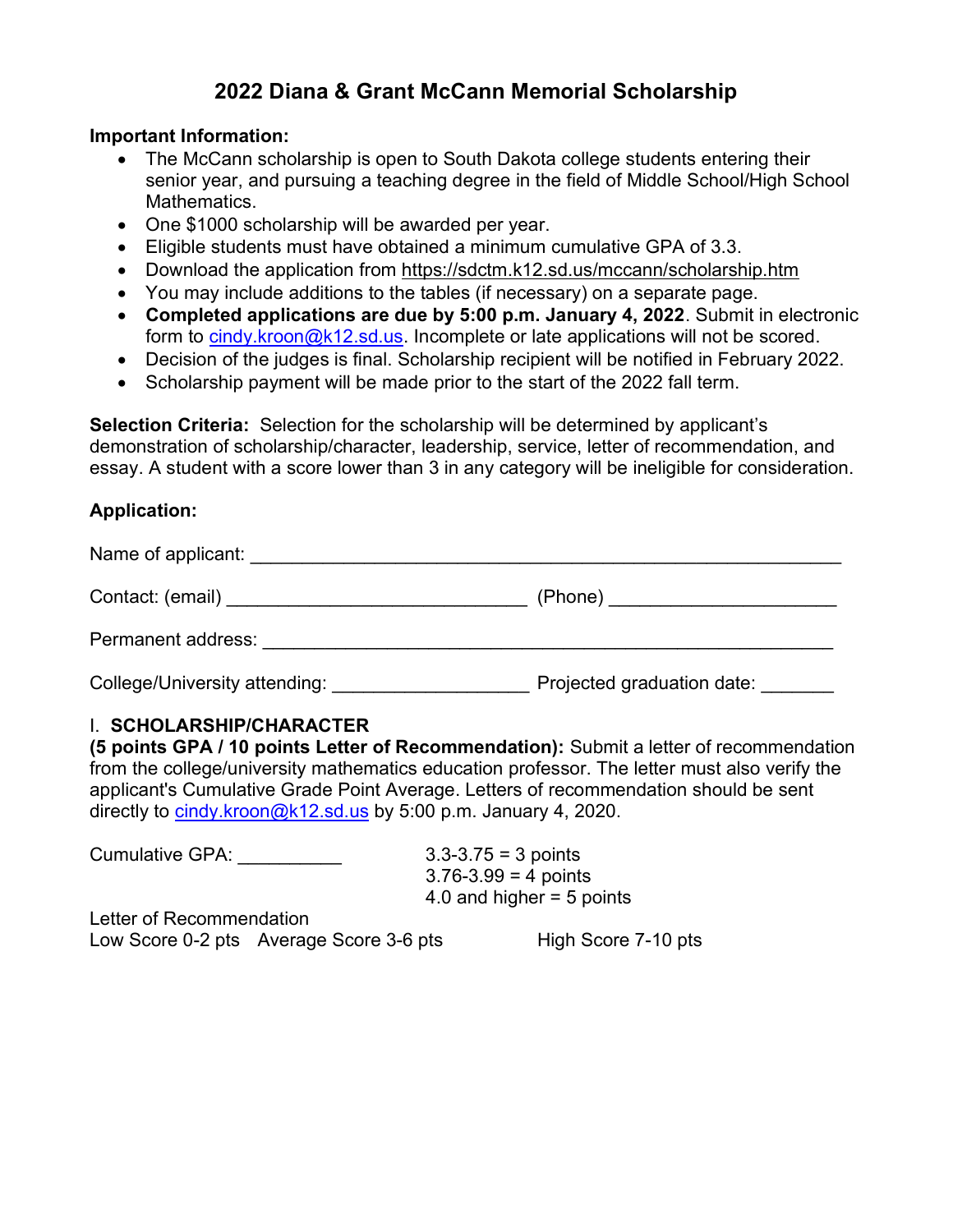## 2022 Diana & Grant McCann Memorial Scholarship

## Important Information:

- The McCann scholarship is open to South Dakota college students entering their senior year, and pursuing a teaching degree in the field of Middle School/High School **Mathematics**
- One \$1000 scholarship will be awarded per year.
- Eligible students must have obtained a minimum cumulative GPA of 3.3.
- Download the application from https://sdctm.k12.sd.us/mccann/scholarship.htm
- You may include additions to the tables (if necessary) on a separate page.
- Completed applications are due by 5:00 p.m. January 4, 2022. Submit in electronic form to cindy.kroon@k12.sd.us. Incomplete or late applications will not be scored.
- Decision of the judges is final. Scholarship recipient will be notified in February 2022.
- Scholarship payment will be made prior to the start of the 2022 fall term.

Selection Criteria: Selection for the scholarship will be determined by applicant's demonstration of scholarship/character, leadership, service, letter of recommendation, and essay. A student with a score lower than 3 in any category will be ineligible for consideration.

## Application:

| Name of applicant:            |                            |
|-------------------------------|----------------------------|
| Contact: (email) Contact: 0   | (Phone) _______________    |
| Permanent address:            |                            |
| College/University attending: | Projected graduation date: |

## I. SCHOLARSHIP/CHARACTER

(5 points GPA / 10 points Letter of Recommendation): Submit a letter of recommendation from the college/university mathematics education professor. The letter must also verify the applicant's Cumulative Grade Point Average. Letters of recommendation should be sent directly to cindy.kroon@k12.sd.us by 5:00 p.m. January 4, 2020.

| <b>Cumulative GPA:</b>   |                                         | $3.3 - 3.75 = 3$ points     |
|--------------------------|-----------------------------------------|-----------------------------|
|                          |                                         | $3.76 - 3.99 = 4$ points    |
|                          |                                         | 4.0 and higher $=$ 5 points |
| Letter of Recommendation |                                         |                             |
|                          | Low Score 0-2 pts Average Score 3-6 pts | High Score 7-10 pts         |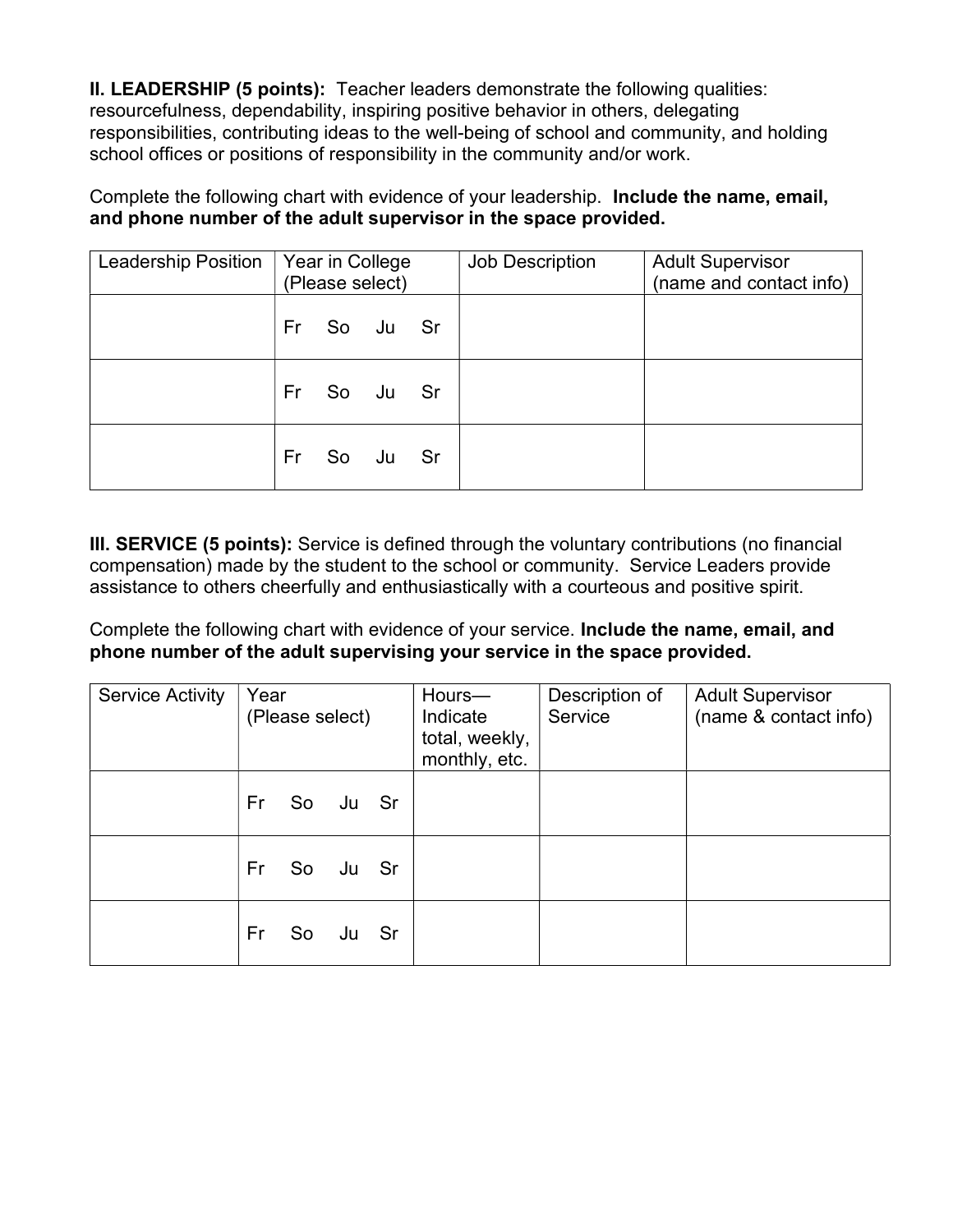II. LEADERSHIP (5 points): Teacher leaders demonstrate the following qualities: resourcefulness, dependability, inspiring positive behavior in others, delegating responsibilities, contributing ideas to the well-being of school and community, and holding school offices or positions of responsibility in the community and/or work.

Complete the following chart with evidence of your leadership. Include the name, email, and phone number of the adult supervisor in the space provided.

| <b>Leadership Position</b> | Year in College<br>(Please select) |  | Job Description | <b>Adult Supervisor</b><br>(name and contact info) |
|----------------------------|------------------------------------|--|-----------------|----------------------------------------------------|
|                            | Fr So Ju Sr                        |  |                 |                                                    |
|                            | Fr So Ju Sr                        |  |                 |                                                    |
|                            | Fr So Ju Sr                        |  |                 |                                                    |

III. SERVICE (5 points): Service is defined through the voluntary contributions (no financial compensation) made by the student to the school or community. Service Leaders provide assistance to others cheerfully and enthusiastically with a courteous and positive spirit.

Complete the following chart with evidence of your service. Include the name, email, and phone number of the adult supervising your service in the space provided.

| <b>Service Activity</b> | Year<br>(Please select) |  |          |  | Hours-<br>Indicate<br>total, weekly,<br>monthly, etc. | Description of<br>Service | <b>Adult Supervisor</b><br>(name & contact info) |
|-------------------------|-------------------------|--|----------|--|-------------------------------------------------------|---------------------------|--------------------------------------------------|
|                         | Fr -                    |  | So Ju Sr |  |                                                       |                           |                                                  |
|                         | Fr                      |  | So Ju Sr |  |                                                       |                           |                                                  |
|                         | Fr i                    |  | So Ju Sr |  |                                                       |                           |                                                  |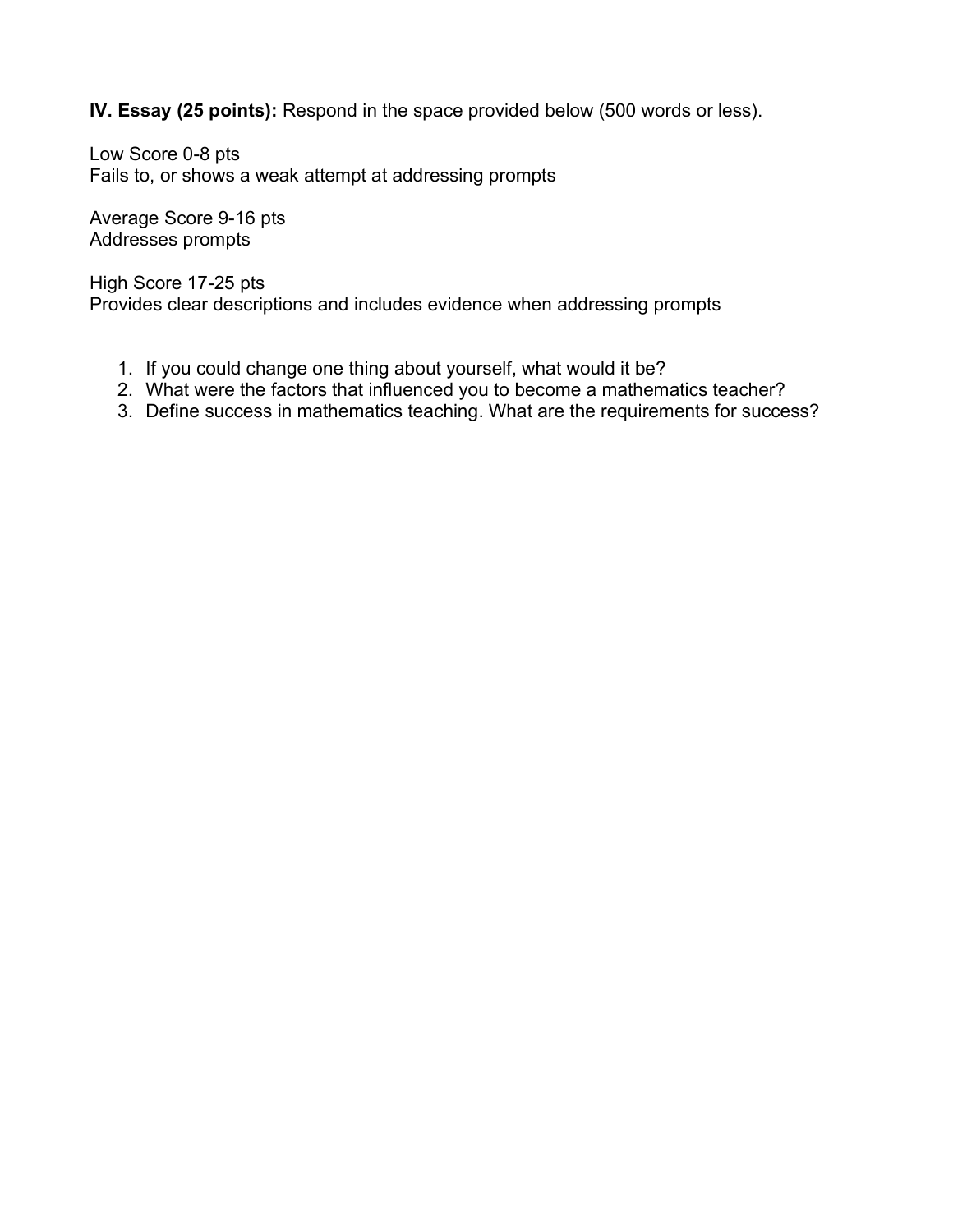IV. Essay (25 points): Respond in the space provided below (500 words or less).

Low Score 0-8 pts Fails to, or shows a weak attempt at addressing prompts

Average Score 9-16 pts Addresses prompts

High Score 17-25 pts Provides clear descriptions and includes evidence when addressing prompts

- 1. If you could change one thing about yourself, what would it be?
- 2. What were the factors that influenced you to become a mathematics teacher?
- 3. Define success in mathematics teaching. What are the requirements for success?